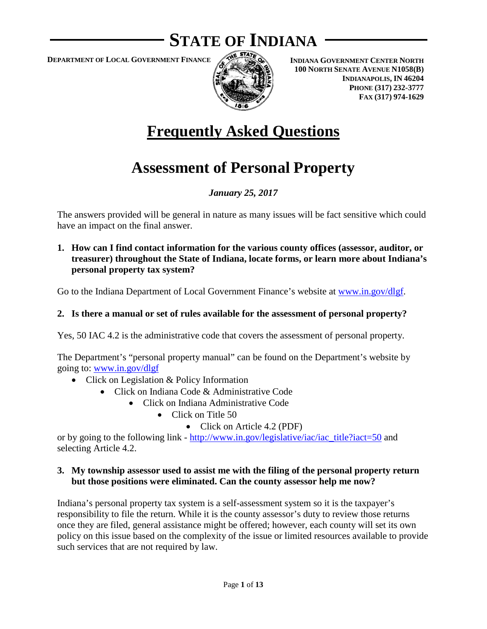# **STATE OF INDIANA**

**DEPARTMENT OF LOCAL GOVERNMENT FINANCE**



**INDIANA GOVERNMENT CENTER NORTH 100 NORTH SENATE AVENUE N1058(B) INDIANAPOLIS, IN 46204 PHONE (317) 232-3777 FAX (317) 974-1629**

# **Frequently Asked Questions**

# **Assessment of Personal Property**

# *January 25, 2017*

The answers provided will be general in nature as many issues will be fact sensitive which could have an impact on the final answer.

**1. How can I find contact information for the various county offices (assessor, auditor, or treasurer) throughout the State of Indiana, locate forms, or learn more about Indiana's personal property tax system?**

Go to the Indiana Department of Local Government Finance's website at [www.in.gov/dlgf.](http://www.in.gov/dlgf)

#### **2. Is there a manual or set of rules available for the assessment of personal property?**

Yes, 50 IAC 4.2 is the administrative code that covers the assessment of personal property.

The Department's "personal property manual" can be found on the Department's website by going to: [www.in.gov/dlgf](http://www.in.gov/dlgf)

- Click on Legislation & Policy Information
	- Click on Indiana Code & Administrative Code
		- Click on Indiana Administrative Code
			- Click on Title 50
				- Click on Article 4.2 (PDF)

or by going to the following link - [http://www.in.gov/legislative/iac/iac\\_title?iact=50](http://www.in.gov/legislative/iac/iac_title?iact=50) and selecting Article 4.2.

#### **3. My township assessor used to assist me with the filing of the personal property return but those positions were eliminated. Can the county assessor help me now?**

Indiana's personal property tax system is a self-assessment system so it is the taxpayer's responsibility to file the return. While it is the county assessor's duty to review those returns once they are filed, general assistance might be offered; however, each county will set its own policy on this issue based on the complexity of the issue or limited resources available to provide such services that are not required by law.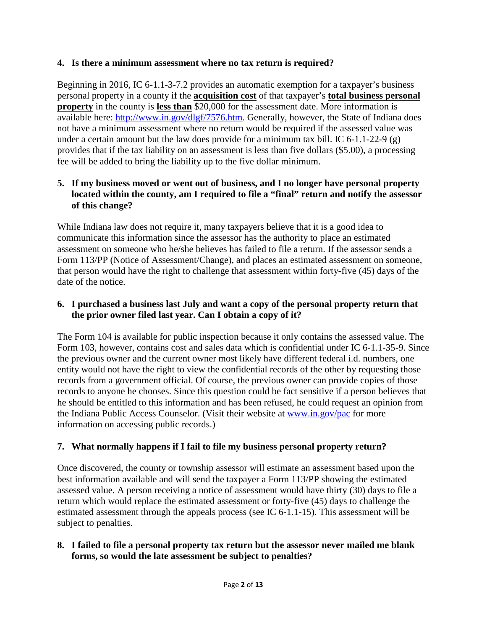### **4. Is there a minimum assessment where no tax return is required?**

Beginning in 2016, IC 6-1.1-3-7.2 provides an automatic exemption for a taxpayer's business personal property in a county if the **acquisition cost** of that taxpayer's **total business personal property** in the county is **less than** \$20,000 for the assessment date. More information is available here: [http://www.in.gov/dlgf/7576.htm.](http://www.in.gov/dlgf/7576.htm) Generally, however, the State of Indiana does not have a minimum assessment where no return would be required if the assessed value was under a certain amount but the law does provide for a minimum tax bill. IC 6-1.1-22-9 (g) provides that if the tax liability on an assessment is less than five dollars (\$5.00), a processing fee will be added to bring the liability up to the five dollar minimum.

### **5. If my business moved or went out of business, and I no longer have personal property located within the county, am I required to file a "final" return and notify the assessor of this change?**

While Indiana law does not require it, many taxpayers believe that it is a good idea to communicate this information since the assessor has the authority to place an estimated assessment on someone who he/she believes has failed to file a return. If the assessor sends a Form 113/PP (Notice of Assessment/Change), and places an estimated assessment on someone, that person would have the right to challenge that assessment within forty-five (45) days of the date of the notice.

#### **6. I purchased a business last July and want a copy of the personal property return that the prior owner filed last year. Can I obtain a copy of it?**

The Form 104 is available for public inspection because it only contains the assessed value. The Form 103, however, contains cost and sales data which is confidential under IC 6-1.1-35-9. Since the previous owner and the current owner most likely have different federal i.d. numbers, one entity would not have the right to view the confidential records of the other by requesting those records from a government official. Of course, the previous owner can provide copies of those records to anyone he chooses. Since this question could be fact sensitive if a person believes that he should be entitled to this information and has been refused, he could request an opinion from the Indiana Public Access Counselor. (Visit their website at [www.in.gov/pac](http://www.in.gov/pac) for more information on accessing public records.)

# **7. What normally happens if I fail to file my business personal property return?**

Once discovered, the county or township assessor will estimate an assessment based upon the best information available and will send the taxpayer a Form 113/PP showing the estimated assessed value. A person receiving a notice of assessment would have thirty (30) days to file a return which would replace the estimated assessment or forty-five (45) days to challenge the estimated assessment through the appeals process (see IC 6-1.1-15). This assessment will be subject to penalties.

### **8. I failed to file a personal property tax return but the assessor never mailed me blank forms, so would the late assessment be subject to penalties?**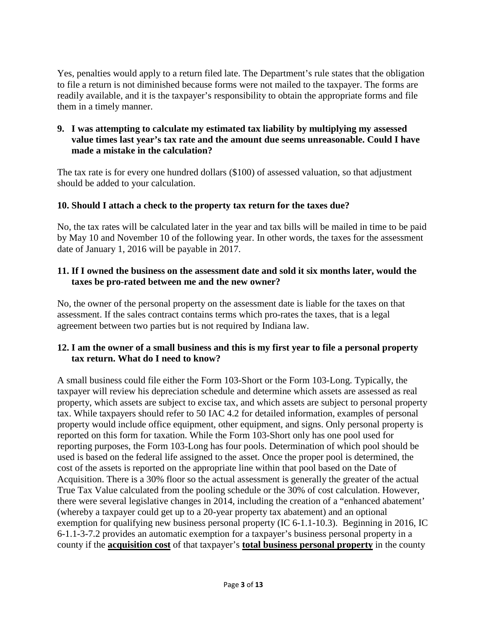Yes, penalties would apply to a return filed late. The Department's rule states that the obligation to file a return is not diminished because forms were not mailed to the taxpayer. The forms are readily available, and it is the taxpayer's responsibility to obtain the appropriate forms and file them in a timely manner.

#### **9. I was attempting to calculate my estimated tax liability by multiplying my assessed value times last year's tax rate and the amount due seems unreasonable. Could I have made a mistake in the calculation?**

The tax rate is for every one hundred dollars (\$100) of assessed valuation, so that adjustment should be added to your calculation.

# **10. Should I attach a check to the property tax return for the taxes due?**

No, the tax rates will be calculated later in the year and tax bills will be mailed in time to be paid by May 10 and November 10 of the following year. In other words, the taxes for the assessment date of January 1, 2016 will be payable in 2017.

# **11. If I owned the business on the assessment date and sold it six months later, would the taxes be pro-rated between me and the new owner?**

No, the owner of the personal property on the assessment date is liable for the taxes on that assessment. If the sales contract contains terms which pro-rates the taxes, that is a legal agreement between two parties but is not required by Indiana law.

# **12. I am the owner of a small business and this is my first year to file a personal property tax return. What do I need to know?**

A small business could file either the Form 103-Short or the Form 103-Long. Typically, the taxpayer will review his depreciation schedule and determine which assets are assessed as real property, which assets are subject to excise tax, and which assets are subject to personal property tax. While taxpayers should refer to 50 IAC 4.2 for detailed information, examples of personal property would include office equipment, other equipment, and signs. Only personal property is reported on this form for taxation. While the Form 103-Short only has one pool used for reporting purposes, the Form 103-Long has four pools. Determination of which pool should be used is based on the federal life assigned to the asset. Once the proper pool is determined, the cost of the assets is reported on the appropriate line within that pool based on the Date of Acquisition. There is a 30% floor so the actual assessment is generally the greater of the actual True Tax Value calculated from the pooling schedule or the 30% of cost calculation. However, there were several legislative changes in 2014, including the creation of a "enhanced abatement' (whereby a taxpayer could get up to a 20-year property tax abatement) and an optional exemption for qualifying new business personal property (IC 6-1.1-10.3). Beginning in 2016, IC 6-1.1-3-7.2 provides an automatic exemption for a taxpayer's business personal property in a county if the **acquisition cost** of that taxpayer's **total business personal property** in the county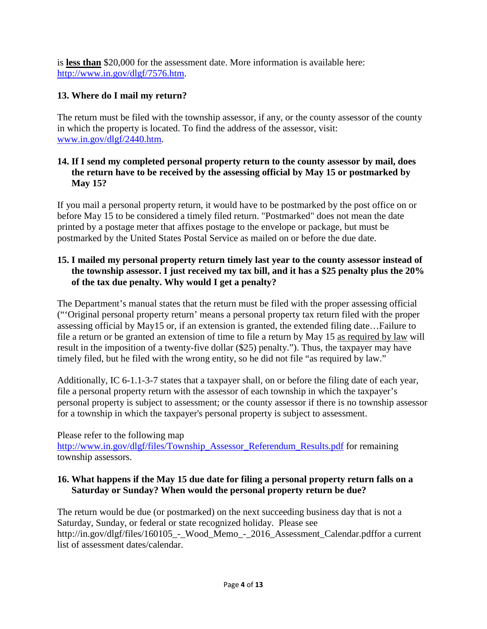is **less than** \$20,000 for the assessment date. More information is available here: [http://www.in.gov/dlgf/7576.htm.](http://www.in.gov/dlgf/7576.htm)

# **13. Where do I mail my return?**

The return must be filed with the township assessor, if any, or the county assessor of the county in which the property is located. To find the address of the assessor, visit: [www.in.gov/dlgf/2440.htm.](http://www.in.gov/dlgf/2440.htm)

### **14. If I send my completed personal property return to the county assessor by mail, does the return have to be received by the assessing official by May 15 or postmarked by May 15?**

If you mail a personal property return, it would have to be postmarked by the post office on or before May 15 to be considered a timely filed return. "Postmarked" does not mean the date printed by a postage meter that affixes postage to the envelope or package, but must be postmarked by the United States Postal Service as mailed on or before the due date.

### **15. I mailed my personal property return timely last year to the county assessor instead of the township assessor. I just received my tax bill, and it has a \$25 penalty plus the 20% of the tax due penalty. Why would I get a penalty?**

The Department's manual states that the return must be filed with the proper assessing official ("'Original personal property return' means a personal property tax return filed with the proper assessing official by May15 or, if an extension is granted, the extended filing date…Failure to file a return or be granted an extension of time to file a return by May 15 as required by law will result in the imposition of a twenty-five dollar (\$25) penalty."). Thus, the taxpayer may have timely filed, but he filed with the wrong entity, so he did not file "as required by law."

Additionally, IC 6-1.1-3-7 states that a taxpayer shall, on or before the filing date of each year, file a personal property return with the assessor of each township in which the taxpayer's personal property is subject to assessment; or the county assessor if there is no township assessor for a township in which the taxpayer's personal property is subject to assessment.

Please refer to the following map [http://www.in.gov/dlgf/files/Township\\_Assessor\\_Referendum\\_Results.pdf](http://www.in.gov/dlgf/files/Township_Assessor_Referendum_Results.pdf) for remaining township assessors.

### **16. What happens if the May 15 due date for filing a personal property return falls on a Saturday or Sunday? When would the personal property return be due?**

The return would be due (or postmarked) on the next succeeding business day that is not a Saturday, Sunday, or federal or state recognized holiday. Please see http://in.gov/dlgf/files/160105\_-\_Wood\_Memo\_-\_2016\_Assessment\_Calendar.pdffor a current list of assessment dates/calendar.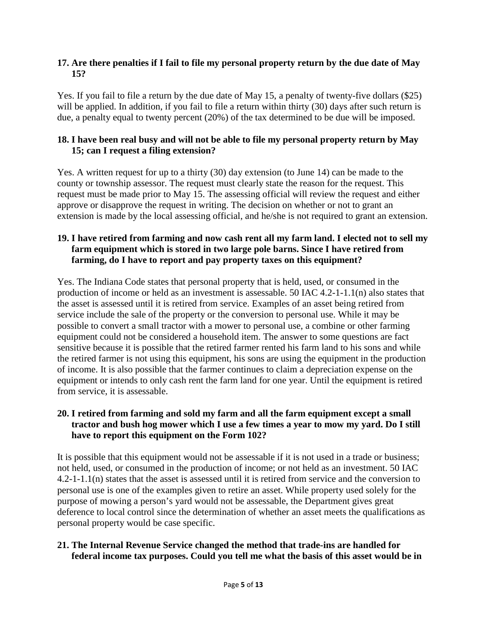#### **17. Are there penalties if I fail to file my personal property return by the due date of May 15?**

Yes. If you fail to file a return by the due date of May 15, a penalty of twenty-five dollars (\$25) will be applied. In addition, if you fail to file a return within thirty (30) days after such return is due, a penalty equal to twenty percent (20%) of the tax determined to be due will be imposed.

## **18. I have been real busy and will not be able to file my personal property return by May 15; can I request a filing extension?**

Yes. A written request for up to a thirty (30) day extension (to June 14) can be made to the county or township assessor. The request must clearly state the reason for the request. This request must be made prior to May 15. The assessing official will review the request and either approve or disapprove the request in writing. The decision on whether or not to grant an extension is made by the local assessing official, and he/she is not required to grant an extension.

## **19. I have retired from farming and now cash rent all my farm land. I elected not to sell my farm equipment which is stored in two large pole barns. Since I have retired from farming, do I have to report and pay property taxes on this equipment?**

Yes. The Indiana Code states that personal property that is held, used, or consumed in the production of income or held as an investment is assessable. 50 IAC 4.2-1-1.1(n) also states that the asset is assessed until it is retired from service. Examples of an asset being retired from service include the sale of the property or the conversion to personal use. While it may be possible to convert a small tractor with a mower to personal use, a combine or other farming equipment could not be considered a household item. The answer to some questions are fact sensitive because it is possible that the retired farmer rented his farm land to his sons and while the retired farmer is not using this equipment, his sons are using the equipment in the production of income. It is also possible that the farmer continues to claim a depreciation expense on the equipment or intends to only cash rent the farm land for one year. Until the equipment is retired from service, it is assessable.

#### **20. I retired from farming and sold my farm and all the farm equipment except a small tractor and bush hog mower which I use a few times a year to mow my yard. Do I still have to report this equipment on the Form 102?**

It is possible that this equipment would not be assessable if it is not used in a trade or business; not held, used, or consumed in the production of income; or not held as an investment. 50 IAC 4.2-1-1.1(n) states that the asset is assessed until it is retired from service and the conversion to personal use is one of the examples given to retire an asset. While property used solely for the purpose of mowing a person's yard would not be assessable, the Department gives great deference to local control since the determination of whether an asset meets the qualifications as personal property would be case specific.

# **21. The Internal Revenue Service changed the method that trade-ins are handled for federal income tax purposes. Could you tell me what the basis of this asset would be in**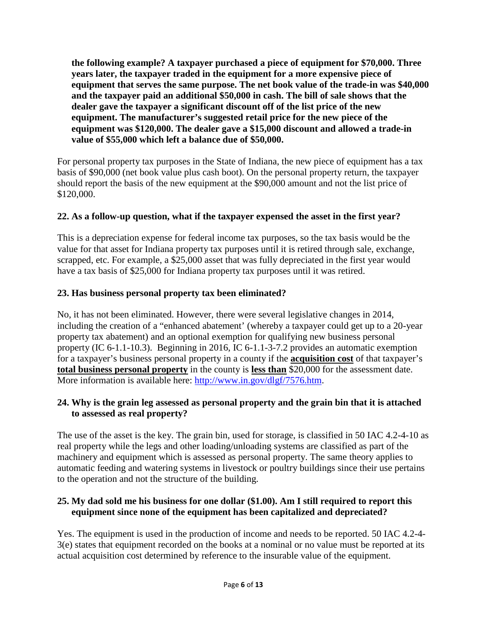**the following example? A taxpayer purchased a piece of equipment for \$70,000. Three years later, the taxpayer traded in the equipment for a more expensive piece of equipment that serves the same purpose. The net book value of the trade-in was \$40,000 and the taxpayer paid an additional \$50,000 in cash. The bill of sale shows that the dealer gave the taxpayer a significant discount off of the list price of the new equipment. The manufacturer's suggested retail price for the new piece of the equipment was \$120,000. The dealer gave a \$15,000 discount and allowed a trade-in value of \$55,000 which left a balance due of \$50,000.** 

For personal property tax purposes in the State of Indiana, the new piece of equipment has a tax basis of \$90,000 (net book value plus cash boot). On the personal property return, the taxpayer should report the basis of the new equipment at the \$90,000 amount and not the list price of \$120,000.

# **22. As a follow-up question, what if the taxpayer expensed the asset in the first year?**

This is a depreciation expense for federal income tax purposes, so the tax basis would be the value for that asset for Indiana property tax purposes until it is retired through sale, exchange, scrapped, etc. For example, a \$25,000 asset that was fully depreciated in the first year would have a tax basis of \$25,000 for Indiana property tax purposes until it was retired.

# **23. Has business personal property tax been eliminated?**

No, it has not been eliminated. However, there were several legislative changes in 2014, including the creation of a "enhanced abatement' (whereby a taxpayer could get up to a 20-year property tax abatement) and an optional exemption for qualifying new business personal property (IC 6-1.1-10.3). Beginning in 2016, IC 6-1.1-3-7.2 provides an automatic exemption for a taxpayer's business personal property in a county if the **acquisition cost** of that taxpayer's **total business personal property** in the county is **less than** \$20,000 for the assessment date. More information is available here: [http://www.in.gov/dlgf/7576.htm.](http://www.in.gov/dlgf/7576.htm)

# **24. Why is the grain leg assessed as personal property and the grain bin that it is attached to assessed as real property?**

The use of the asset is the key. The grain bin, used for storage, is classified in 50 IAC 4.2-4-10 as real property while the legs and other loading/unloading systems are classified as part of the machinery and equipment which is assessed as personal property. The same theory applies to automatic feeding and watering systems in livestock or poultry buildings since their use pertains to the operation and not the structure of the building.

# **25. My dad sold me his business for one dollar (\$1.00). Am I still required to report this equipment since none of the equipment has been capitalized and depreciated?**

Yes. The equipment is used in the production of income and needs to be reported. 50 IAC 4.2-4- 3(e) states that equipment recorded on the books at a nominal or no value must be reported at its actual acquisition cost determined by reference to the insurable value of the equipment.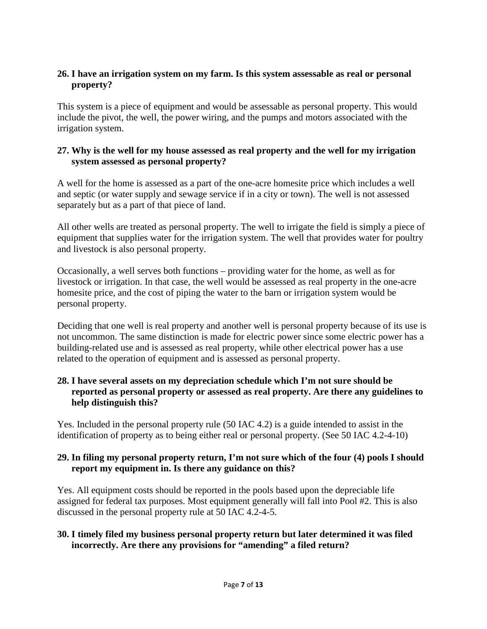#### **26. I have an irrigation system on my farm. Is this system assessable as real or personal property?**

This system is a piece of equipment and would be assessable as personal property. This would include the pivot, the well, the power wiring, and the pumps and motors associated with the irrigation system.

#### **27. Why is the well for my house assessed as real property and the well for my irrigation system assessed as personal property?**

A well for the home is assessed as a part of the one-acre homesite price which includes a well and septic (or water supply and sewage service if in a city or town). The well is not assessed separately but as a part of that piece of land.

All other wells are treated as personal property. The well to irrigate the field is simply a piece of equipment that supplies water for the irrigation system. The well that provides water for poultry and livestock is also personal property.

Occasionally, a well serves both functions – providing water for the home, as well as for livestock or irrigation. In that case, the well would be assessed as real property in the one-acre homesite price, and the cost of piping the water to the barn or irrigation system would be personal property.

Deciding that one well is real property and another well is personal property because of its use is not uncommon. The same distinction is made for electric power since some electric power has a building-related use and is assessed as real property, while other electrical power has a use related to the operation of equipment and is assessed as personal property.

## **28. I have several assets on my depreciation schedule which I'm not sure should be reported as personal property or assessed as real property. Are there any guidelines to help distinguish this?**

Yes. Included in the personal property rule (50 IAC 4.2) is a guide intended to assist in the identification of property as to being either real or personal property. (See 50 IAC 4.2-4-10)

### **29. In filing my personal property return, I'm not sure which of the four (4) pools I should report my equipment in. Is there any guidance on this?**

Yes. All equipment costs should be reported in the pools based upon the depreciable life assigned for federal tax purposes. Most equipment generally will fall into Pool #2. This is also discussed in the personal property rule at 50 IAC 4.2-4-5.

### **30. I timely filed my business personal property return but later determined it was filed incorrectly. Are there any provisions for "amending" a filed return?**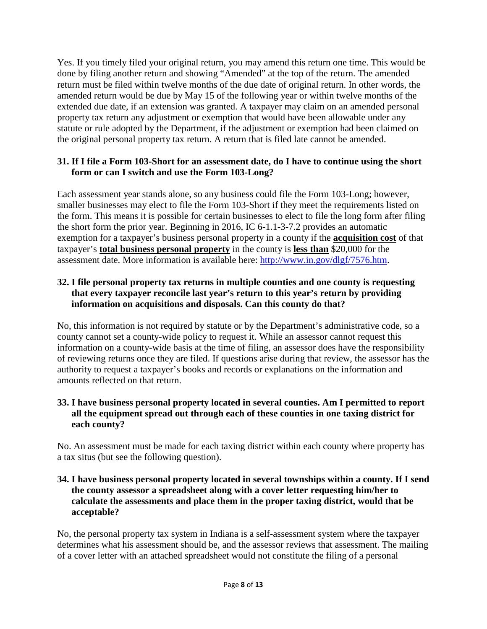Yes. If you timely filed your original return, you may amend this return one time. This would be done by filing another return and showing "Amended" at the top of the return. The amended return must be filed within twelve months of the due date of original return. In other words, the amended return would be due by May 15 of the following year or within twelve months of the extended due date, if an extension was granted. A taxpayer may claim on an amended personal property tax return any adjustment or exemption that would have been allowable under any statute or rule adopted by the Department, if the adjustment or exemption had been claimed on the original personal property tax return. A return that is filed late cannot be amended.

## **31. If I file a Form 103-Short for an assessment date, do I have to continue using the short form or can I switch and use the Form 103-Long?**

Each assessment year stands alone, so any business could file the Form 103-Long; however, smaller businesses may elect to file the Form 103-Short if they meet the requirements listed on the form. This means it is possible for certain businesses to elect to file the long form after filing the short form the prior year. Beginning in 2016, IC 6-1.1-3-7.2 provides an automatic exemption for a taxpayer's business personal property in a county if the **acquisition cost** of that taxpayer's **total business personal property** in the county is **less than** \$20,000 for the assessment date. More information is available here: [http://www.in.gov/dlgf/7576.htm.](http://www.in.gov/dlgf/7576.htm)

#### **32. I file personal property tax returns in multiple counties and one county is requesting that every taxpayer reconcile last year's return to this year's return by providing information on acquisitions and disposals. Can this county do that?**

No, this information is not required by statute or by the Department's administrative code, so a county cannot set a county-wide policy to request it. While an assessor cannot request this information on a county-wide basis at the time of filing, an assessor does have the responsibility of reviewing returns once they are filed. If questions arise during that review, the assessor has the authority to request a taxpayer's books and records or explanations on the information and amounts reflected on that return.

#### **33. I have business personal property located in several counties. Am I permitted to report all the equipment spread out through each of these counties in one taxing district for each county?**

No. An assessment must be made for each taxing district within each county where property has a tax situs (but see the following question).

#### **34. I have business personal property located in several townships within a county. If I send the county assessor a spreadsheet along with a cover letter requesting him/her to calculate the assessments and place them in the proper taxing district, would that be acceptable?**

No, the personal property tax system in Indiana is a self-assessment system where the taxpayer determines what his assessment should be, and the assessor reviews that assessment. The mailing of a cover letter with an attached spreadsheet would not constitute the filing of a personal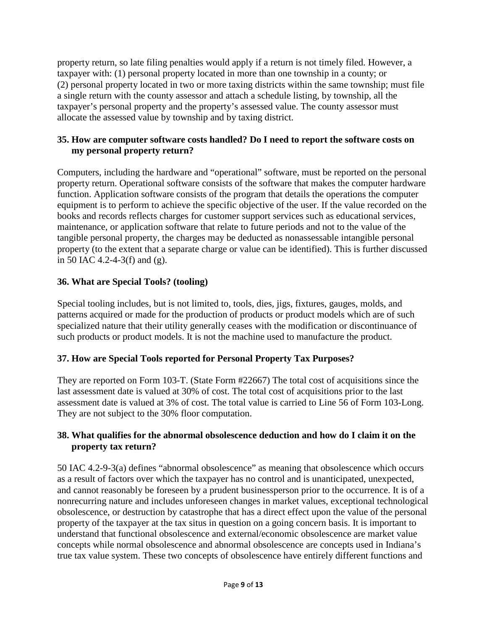property return, so late filing penalties would apply if a return is not timely filed. However, a taxpayer with: (1) personal property located in more than one township in a county; or (2) personal property located in two or more taxing districts within the same township; must file a single return with the county assessor and attach a schedule listing, by township, all the taxpayer's personal property and the property's assessed value. The county assessor must allocate the assessed value by township and by taxing district.

# **35. How are computer software costs handled? Do I need to report the software costs on my personal property return?**

Computers, including the hardware and "operational" software, must be reported on the personal property return. Operational software consists of the software that makes the computer hardware function. Application software consists of the program that details the operations the computer equipment is to perform to achieve the specific objective of the user. If the value recorded on the books and records reflects charges for customer support services such as educational services, maintenance, or application software that relate to future periods and not to the value of the tangible personal property, the charges may be deducted as nonassessable intangible personal property (to the extent that a separate charge or value can be identified). This is further discussed in 50 IAC 4.2-4-3(f) and (g).

# **36. What are Special Tools? (tooling)**

Special tooling includes, but is not limited to, tools, dies, jigs, fixtures, gauges, molds, and patterns acquired or made for the production of products or product models which are of such specialized nature that their utility generally ceases with the modification or discontinuance of such products or product models. It is not the machine used to manufacture the product.

# **37. How are Special Tools reported for Personal Property Tax Purposes?**

They are reported on Form 103-T. (State Form #22667) The total cost of acquisitions since the last assessment date is valued at 30% of cost. The total cost of acquisitions prior to the last assessment date is valued at 3% of cost. The total value is carried to Line 56 of Form 103-Long. They are not subject to the 30% floor computation.

# **38. What qualifies for the abnormal obsolescence deduction and how do I claim it on the property tax return?**

50 IAC 4.2-9-3(a) defines "abnormal obsolescence" as meaning that obsolescence which occurs as a result of factors over which the taxpayer has no control and is unanticipated, unexpected, and cannot reasonably be foreseen by a prudent businessperson prior to the occurrence. It is of a nonrecurring nature and includes unforeseen changes in market values, exceptional technological obsolescence, or destruction by catastrophe that has a direct effect upon the value of the personal property of the taxpayer at the tax situs in question on a going concern basis. It is important to understand that functional obsolescence and external/economic obsolescence are market value concepts while normal obsolescence and abnormal obsolescence are concepts used in Indiana's true tax value system. These two concepts of obsolescence have entirely different functions and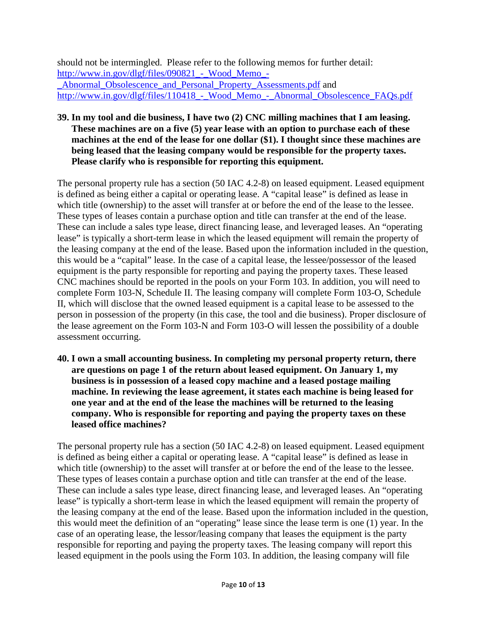should not be intermingled. Please refer to the following memos for further detail: http://www.in.gov/dlgf/files/090821 - Wood Memo -[\\_Abnormal\\_Obsolescence\\_and\\_Personal\\_Property\\_Assessments.pdf](http://www.in.gov/dlgf/files/090821_-_Wood_Memo_-_Abnormal_Obsolescence_and_Personal_Property_Assessments.pdf) and [http://www.in.gov/dlgf/files/110418\\_-\\_Wood\\_Memo\\_-\\_Abnormal\\_Obsolescence\\_FAQs.pdf](http://www.in.gov/dlgf/files/110418_-_Wood_Memo_-_Abnormal_Obsolescence_FAQs.pdf)

#### **39. In my tool and die business, I have two (2) CNC milling machines that I am leasing. These machines are on a five (5) year lease with an option to purchase each of these machines at the end of the lease for one dollar (\$1). I thought since these machines are being leased that the leasing company would be responsible for the property taxes. Please clarify who is responsible for reporting this equipment.**

The personal property rule has a section (50 IAC 4.2-8) on leased equipment. Leased equipment is defined as being either a capital or operating lease. A "capital lease" is defined as lease in which title (ownership) to the asset will transfer at or before the end of the lease to the lessee. These types of leases contain a purchase option and title can transfer at the end of the lease. These can include a sales type lease, direct financing lease, and leveraged leases. An "operating lease" is typically a short-term lease in which the leased equipment will remain the property of the leasing company at the end of the lease. Based upon the information included in the question, this would be a "capital" lease. In the case of a capital lease, the lessee/possessor of the leased equipment is the party responsible for reporting and paying the property taxes. These leased CNC machines should be reported in the pools on your Form 103. In addition, you will need to complete Form 103-N, Schedule II. The leasing company will complete Form 103-O, Schedule II, which will disclose that the owned leased equipment is a capital lease to be assessed to the person in possession of the property (in this case, the tool and die business). Proper disclosure of the lease agreement on the Form 103-N and Form 103-O will lessen the possibility of a double assessment occurring.

**40. I own a small accounting business. In completing my personal property return, there are questions on page 1 of the return about leased equipment. On January 1, my business is in possession of a leased copy machine and a leased postage mailing machine. In reviewing the lease agreement, it states each machine is being leased for one year and at the end of the lease the machines will be returned to the leasing company. Who is responsible for reporting and paying the property taxes on these leased office machines?**

The personal property rule has a section (50 IAC 4.2-8) on leased equipment. Leased equipment is defined as being either a capital or operating lease. A "capital lease" is defined as lease in which title (ownership) to the asset will transfer at or before the end of the lease to the lessee. These types of leases contain a purchase option and title can transfer at the end of the lease. These can include a sales type lease, direct financing lease, and leveraged leases. An "operating lease" is typically a short-term lease in which the leased equipment will remain the property of the leasing company at the end of the lease. Based upon the information included in the question, this would meet the definition of an "operating" lease since the lease term is one (1) year. In the case of an operating lease, the lessor/leasing company that leases the equipment is the party responsible for reporting and paying the property taxes. The leasing company will report this leased equipment in the pools using the Form 103. In addition, the leasing company will file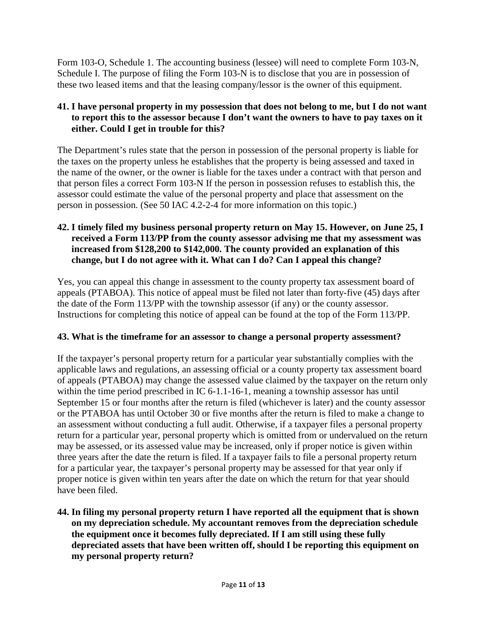Form 103-O, Schedule 1. The accounting business (lessee) will need to complete Form 103-N, Schedule I. The purpose of filing the Form 103-N is to disclose that you are in possession of these two leased items and that the leasing company/lessor is the owner of this equipment.

# **41. I have personal property in my possession that does not belong to me, but I do not want to report this to the assessor because I don't want the owners to have to pay taxes on it either. Could I get in trouble for this?**

The Department's rules state that the person in possession of the personal property is liable for the taxes on the property unless he establishes that the property is being assessed and taxed in the name of the owner, or the owner is liable for the taxes under a contract with that person and that person files a correct Form 103-N If the person in possession refuses to establish this, the assessor could estimate the value of the personal property and place that assessment on the person in possession. (See 50 IAC 4.2-2-4 for more information on this topic.)

#### **42. I timely filed my business personal property return on May 15. However, on June 25, I received a Form 113/PP from the county assessor advising me that my assessment was increased from \$128,200 to \$142,000. The county provided an explanation of this change, but I do not agree with it. What can I do? Can I appeal this change?**

Yes, you can appeal this change in assessment to the county property tax assessment board of appeals (PTABOA). This notice of appeal must be filed not later than forty-five (45) days after the date of the Form 113/PP with the township assessor (if any) or the county assessor. Instructions for completing this notice of appeal can be found at the top of the Form 113/PP.

# **43. What is the timeframe for an assessor to change a personal property assessment?**

If the taxpayer's personal property return for a particular year substantially complies with the applicable laws and regulations, an assessing official or a county property tax assessment board of appeals (PTABOA) may change the assessed value claimed by the taxpayer on the return only within the time period prescribed in IC 6-1.1-16-1, meaning a township assessor has until September 15 or four months after the return is filed (whichever is later) and the county assessor or the PTABOA has until October 30 or five months after the return is filed to make a change to an assessment without conducting a full audit. Otherwise, if a taxpayer files a personal property return for a particular year, personal property which is omitted from or undervalued on the return may be assessed, or its assessed value may be increased, only if proper notice is given within three years after the date the return is filed. If a taxpayer fails to file a personal property return for a particular year, the taxpayer's personal property may be assessed for that year only if proper notice is given within ten years after the date on which the return for that year should have been filed.

**44. In filing my personal property return I have reported all the equipment that is shown on my depreciation schedule. My accountant removes from the depreciation schedule the equipment once it becomes fully depreciated. If I am still using these fully depreciated assets that have been written off, should I be reporting this equipment on my personal property return?**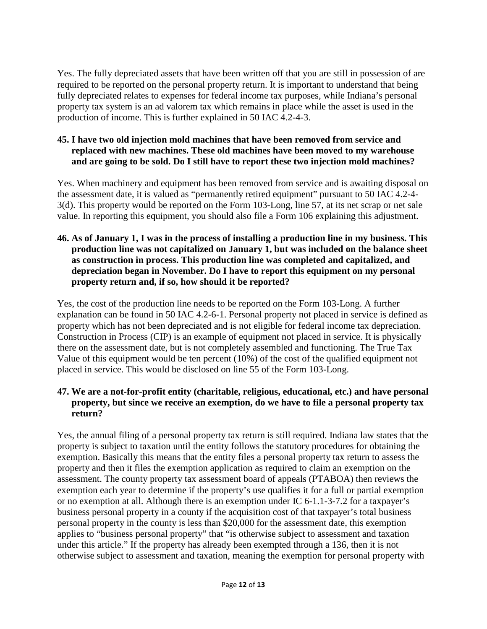Yes. The fully depreciated assets that have been written off that you are still in possession of are required to be reported on the personal property return. It is important to understand that being fully depreciated relates to expenses for federal income tax purposes, while Indiana's personal property tax system is an ad valorem tax which remains in place while the asset is used in the production of income. This is further explained in 50 IAC 4.2-4-3.

#### **45. I have two old injection mold machines that have been removed from service and replaced with new machines. These old machines have been moved to my warehouse and are going to be sold. Do I still have to report these two injection mold machines?**

Yes. When machinery and equipment has been removed from service and is awaiting disposal on the assessment date, it is valued as "permanently retired equipment" pursuant to 50 IAC 4.2-4- 3(d). This property would be reported on the Form 103-Long, line 57, at its net scrap or net sale value. In reporting this equipment, you should also file a Form 106 explaining this adjustment.

#### **46. As of January 1, I was in the process of installing a production line in my business. This production line was not capitalized on January 1, but was included on the balance sheet as construction in process. This production line was completed and capitalized, and depreciation began in November. Do I have to report this equipment on my personal property return and, if so, how should it be reported?**

Yes, the cost of the production line needs to be reported on the Form 103-Long. A further explanation can be found in 50 IAC 4.2-6-1. Personal property not placed in service is defined as property which has not been depreciated and is not eligible for federal income tax depreciation. Construction in Process (CIP) is an example of equipment not placed in service. It is physically there on the assessment date, but is not completely assembled and functioning. The True Tax Value of this equipment would be ten percent (10%) of the cost of the qualified equipment not placed in service. This would be disclosed on line 55 of the Form 103-Long.

#### **47. We are a not-for-profit entity (charitable, religious, educational, etc.) and have personal property, but since we receive an exemption, do we have to file a personal property tax return?**

Yes, the annual filing of a personal property tax return is still required. Indiana law states that the property is subject to taxation until the entity follows the statutory procedures for obtaining the exemption. Basically this means that the entity files a personal property tax return to assess the property and then it files the exemption application as required to claim an exemption on the assessment. The county property tax assessment board of appeals (PTABOA) then reviews the exemption each year to determine if the property's use qualifies it for a full or partial exemption or no exemption at all. Although there is an exemption under IC 6-1.1-3-7.2 for a taxpayer's business personal property in a county if the acquisition cost of that taxpayer's total business personal property in the county is less than \$20,000 for the assessment date, this exemption applies to "business personal property" that "is otherwise subject to assessment and taxation under this article." If the property has already been exempted through a 136, then it is not otherwise subject to assessment and taxation, meaning the exemption for personal property with